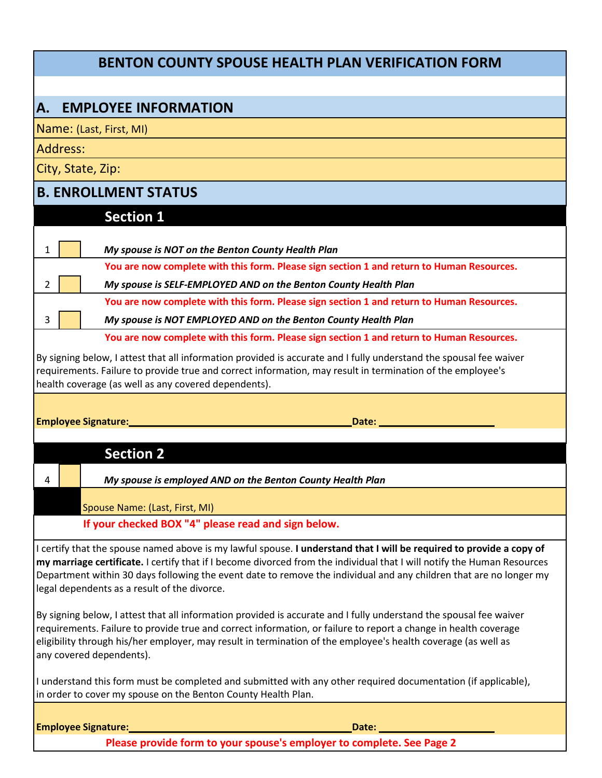## **BENTON COUNTY SPOUSE HEALTH PLAN VERIFICATION FORM**

## **A. EMPLOYEE INFORMATION**

Name: (Last, First, MI)

Address:

City, State, Zip:

## **B. ENROLLMENT STATUS**

| <b>Section 1</b><br>My spouse is NOT on the Benton County Health Plan<br>1<br>You are now complete with this form. Please sign section 1 and return to Human Resources.<br>My spouse is SELF-EMPLOYED AND on the Benton County Health Plan<br>$\overline{2}$<br>You are now complete with this form. Please sign section 1 and return to Human Resources.<br>My spouse is NOT EMPLOYED AND on the Benton County Health Plan<br>3<br>You are now complete with this form. Please sign section 1 and return to Human Resources.<br>By signing below, I attest that all information provided is accurate and I fully understand the spousal fee waiver<br>requirements. Failure to provide true and correct information, may result in termination of the employee's<br>health coverage (as well as any covered dependents).<br><b>Employee Signature:</b><br>Date:<br><b>Section 2</b><br>My spouse is employed AND on the Benton County Health Plan<br>4<br>Spouse Name: (Last, First, MI)<br>If your checked BOX "4" please read and sign below.<br>I certify that the spouse named above is my lawful spouse. I understand that I will be required to provide a copy of<br>my marriage certificate. I certify that if I become divorced from the individual that I will notify the Human Resources<br>Department within 30 days following the event date to remove the individual and any children that are no longer my<br>legal dependents as a result of the divorce.<br>By signing below, I attest that all information provided is accurate and I fully understand the spousal fee waiver<br>requirements. Failure to provide true and correct information, or failure to report a change in health coverage<br>eligibility through his/her employer, may result in termination of the employee's health coverage (as well as<br>any covered dependents).<br>I understand this form must be completed and submitted with any other required documentation (if applicable),<br>in order to cover my spouse on the Benton County Health Plan.<br><b>Employee Signature:</b><br>Date: |  |  |  |  |  |
|------------------------------------------------------------------------------------------------------------------------------------------------------------------------------------------------------------------------------------------------------------------------------------------------------------------------------------------------------------------------------------------------------------------------------------------------------------------------------------------------------------------------------------------------------------------------------------------------------------------------------------------------------------------------------------------------------------------------------------------------------------------------------------------------------------------------------------------------------------------------------------------------------------------------------------------------------------------------------------------------------------------------------------------------------------------------------------------------------------------------------------------------------------------------------------------------------------------------------------------------------------------------------------------------------------------------------------------------------------------------------------------------------------------------------------------------------------------------------------------------------------------------------------------------------------------------------------------------------------------------------------------------------------------------------------------------------------------------------------------------------------------------------------------------------------------------------------------------------------------------------------------------------------------------------------------------------------------------------------------------------------------------------------------------------------------------------------------|--|--|--|--|--|
|                                                                                                                                                                                                                                                                                                                                                                                                                                                                                                                                                                                                                                                                                                                                                                                                                                                                                                                                                                                                                                                                                                                                                                                                                                                                                                                                                                                                                                                                                                                                                                                                                                                                                                                                                                                                                                                                                                                                                                                                                                                                                          |  |  |  |  |  |
|                                                                                                                                                                                                                                                                                                                                                                                                                                                                                                                                                                                                                                                                                                                                                                                                                                                                                                                                                                                                                                                                                                                                                                                                                                                                                                                                                                                                                                                                                                                                                                                                                                                                                                                                                                                                                                                                                                                                                                                                                                                                                          |  |  |  |  |  |
|                                                                                                                                                                                                                                                                                                                                                                                                                                                                                                                                                                                                                                                                                                                                                                                                                                                                                                                                                                                                                                                                                                                                                                                                                                                                                                                                                                                                                                                                                                                                                                                                                                                                                                                                                                                                                                                                                                                                                                                                                                                                                          |  |  |  |  |  |
|                                                                                                                                                                                                                                                                                                                                                                                                                                                                                                                                                                                                                                                                                                                                                                                                                                                                                                                                                                                                                                                                                                                                                                                                                                                                                                                                                                                                                                                                                                                                                                                                                                                                                                                                                                                                                                                                                                                                                                                                                                                                                          |  |  |  |  |  |
|                                                                                                                                                                                                                                                                                                                                                                                                                                                                                                                                                                                                                                                                                                                                                                                                                                                                                                                                                                                                                                                                                                                                                                                                                                                                                                                                                                                                                                                                                                                                                                                                                                                                                                                                                                                                                                                                                                                                                                                                                                                                                          |  |  |  |  |  |
|                                                                                                                                                                                                                                                                                                                                                                                                                                                                                                                                                                                                                                                                                                                                                                                                                                                                                                                                                                                                                                                                                                                                                                                                                                                                                                                                                                                                                                                                                                                                                                                                                                                                                                                                                                                                                                                                                                                                                                                                                                                                                          |  |  |  |  |  |
|                                                                                                                                                                                                                                                                                                                                                                                                                                                                                                                                                                                                                                                                                                                                                                                                                                                                                                                                                                                                                                                                                                                                                                                                                                                                                                                                                                                                                                                                                                                                                                                                                                                                                                                                                                                                                                                                                                                                                                                                                                                                                          |  |  |  |  |  |
|                                                                                                                                                                                                                                                                                                                                                                                                                                                                                                                                                                                                                                                                                                                                                                                                                                                                                                                                                                                                                                                                                                                                                                                                                                                                                                                                                                                                                                                                                                                                                                                                                                                                                                                                                                                                                                                                                                                                                                                                                                                                                          |  |  |  |  |  |
|                                                                                                                                                                                                                                                                                                                                                                                                                                                                                                                                                                                                                                                                                                                                                                                                                                                                                                                                                                                                                                                                                                                                                                                                                                                                                                                                                                                                                                                                                                                                                                                                                                                                                                                                                                                                                                                                                                                                                                                                                                                                                          |  |  |  |  |  |
|                                                                                                                                                                                                                                                                                                                                                                                                                                                                                                                                                                                                                                                                                                                                                                                                                                                                                                                                                                                                                                                                                                                                                                                                                                                                                                                                                                                                                                                                                                                                                                                                                                                                                                                                                                                                                                                                                                                                                                                                                                                                                          |  |  |  |  |  |
|                                                                                                                                                                                                                                                                                                                                                                                                                                                                                                                                                                                                                                                                                                                                                                                                                                                                                                                                                                                                                                                                                                                                                                                                                                                                                                                                                                                                                                                                                                                                                                                                                                                                                                                                                                                                                                                                                                                                                                                                                                                                                          |  |  |  |  |  |
|                                                                                                                                                                                                                                                                                                                                                                                                                                                                                                                                                                                                                                                                                                                                                                                                                                                                                                                                                                                                                                                                                                                                                                                                                                                                                                                                                                                                                                                                                                                                                                                                                                                                                                                                                                                                                                                                                                                                                                                                                                                                                          |  |  |  |  |  |
|                                                                                                                                                                                                                                                                                                                                                                                                                                                                                                                                                                                                                                                                                                                                                                                                                                                                                                                                                                                                                                                                                                                                                                                                                                                                                                                                                                                                                                                                                                                                                                                                                                                                                                                                                                                                                                                                                                                                                                                                                                                                                          |  |  |  |  |  |
|                                                                                                                                                                                                                                                                                                                                                                                                                                                                                                                                                                                                                                                                                                                                                                                                                                                                                                                                                                                                                                                                                                                                                                                                                                                                                                                                                                                                                                                                                                                                                                                                                                                                                                                                                                                                                                                                                                                                                                                                                                                                                          |  |  |  |  |  |
|                                                                                                                                                                                                                                                                                                                                                                                                                                                                                                                                                                                                                                                                                                                                                                                                                                                                                                                                                                                                                                                                                                                                                                                                                                                                                                                                                                                                                                                                                                                                                                                                                                                                                                                                                                                                                                                                                                                                                                                                                                                                                          |  |  |  |  |  |
|                                                                                                                                                                                                                                                                                                                                                                                                                                                                                                                                                                                                                                                                                                                                                                                                                                                                                                                                                                                                                                                                                                                                                                                                                                                                                                                                                                                                                                                                                                                                                                                                                                                                                                                                                                                                                                                                                                                                                                                                                                                                                          |  |  |  |  |  |
|                                                                                                                                                                                                                                                                                                                                                                                                                                                                                                                                                                                                                                                                                                                                                                                                                                                                                                                                                                                                                                                                                                                                                                                                                                                                                                                                                                                                                                                                                                                                                                                                                                                                                                                                                                                                                                                                                                                                                                                                                                                                                          |  |  |  |  |  |
|                                                                                                                                                                                                                                                                                                                                                                                                                                                                                                                                                                                                                                                                                                                                                                                                                                                                                                                                                                                                                                                                                                                                                                                                                                                                                                                                                                                                                                                                                                                                                                                                                                                                                                                                                                                                                                                                                                                                                                                                                                                                                          |  |  |  |  |  |

**Please provide form to your spouse's employer to complete. See Page 2**